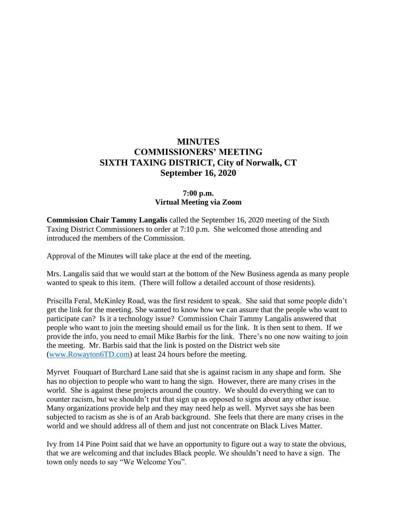# **MINUTES COMMISSIONERS' MEETING SIXTH TAXING DISTRICT, City of Norwalk, CT September 16, 2020**

# **7:00 p.m. Virtual Meeting via Zoom**

**Commission Chair Tammy Langalis** called the September 16, 2020 meeting of the Sixth Taxing District Commissioners to order at 7:10 p.m. She welcomed those attending and introduced the members of the Commission.

Approval of the Minutes will take place at the end of the meeting.

Mrs. Langalis said that we would start at the bottom of the New Business agenda as many people wanted to speak to this item. (There will follow a detailed account of those residents).

Priscilla Feral, McKinley Road, was the first resident to speak. She said that some people didn't get the link for the meeting. She wanted to know how we can assure that the people who want to participate can? Is it a technology issue? Commission Chair Tammy Langalis answered that people who want to join the meeting should email us for the link. It is then sent to them. If we provide the info, you need to email Mike Barbis for the link. There's no one now waiting to join the meeting. Mr. Barbis said that the link is posted on the District web site [\(www.Rowayton6TD.com\)](http://www.rowayton6td.com/) at least 24 hours before the meeting.

Myrvet Fouquart of Burchard Lane said that she is against racism in any shape and form. She has no objection to people who want to hang the sign. However, there are many crises in the world. She is against these projects around the country. We should do everything we can to counter racism, but we shouldn't put that sign up as opposed to signs about any other issue. Many organizations provide help and they may need help as well. Myrvet says she has been subjected to racism as she is of an Arab background. She feels that there are many crises in the world and we should address all of them and just not concentrate on Black Lives Matter.

Ivy from 14 Pine Point said that we have an opportunity to figure out a way to state the obvious, that we are welcoming and that includes Black people. We shouldn't need to have a sign. The town only needs to say "We Welcome You".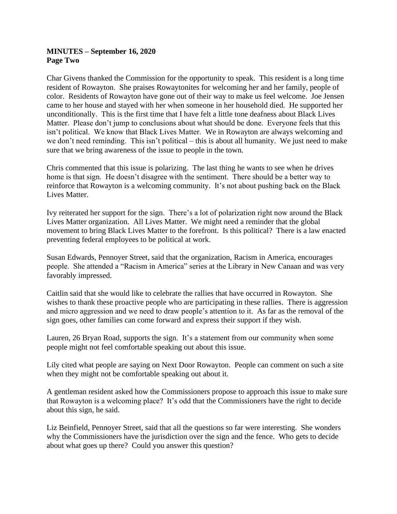# **MINUTES – September 16, 2020 Page Two**

Char Givens thanked the Commission for the opportunity to speak. This resident is a long time resident of Rowayton. She praises Rowaytonites for welcoming her and her family, people of color. Residents of Rowayton have gone out of their way to make us feel welcome. Joe Jensen came to her house and stayed with her when someone in her household died. He supported her unconditionally. This is the first time that I have felt a little tone deafness about Black Lives Matter. Please don't jump to conclusions about what should be done. Everyone feels that this isn't political. We know that Black Lives Matter. We in Rowayton are always welcoming and we don't need reminding. This isn't political – this is about all humanity. We just need to make sure that we bring awareness of the issue to people in the town.

Chris commented that this issue is polarizing. The last thing he wants to see when he drives home is that sign. He doesn't disagree with the sentiment. There should be a better way to reinforce that Rowayton is a welcoming community. It's not about pushing back on the Black Lives Matter.

Ivy reiterated her support for the sign. There's a lot of polarization right now around the Black Lives Matter organization. All Lives Matter. We might need a reminder that the global movement to bring Black Lives Matter to the forefront. Is this political? There is a law enacted preventing federal employees to be political at work.

Susan Edwards, Pennoyer Street, said that the organization, Racism in America, encourages people. She attended a "Racism in America" series at the Library in New Canaan and was very favorably impressed.

Caitlin said that she would like to celebrate the rallies that have occurred in Rowayton. She wishes to thank these proactive people who are participating in these rallies. There is aggression and micro aggression and we need to draw people's attention to it. As far as the removal of the sign goes, other families can come forward and express their support if they wish.

Lauren, 26 Bryan Road, supports the sign. It's a statement from our community when some people might not feel comfortable speaking out about this issue.

Lily cited what people are saying on Next Door Rowayton. People can comment on such a site when they might not be comfortable speaking out about it.

A gentleman resident asked how the Commissioners propose to approach this issue to make sure that Rowayton is a welcoming place? It's odd that the Commissioners have the right to decide about this sign, he said.

Liz Beinfield, Pennoyer Street, said that all the questions so far were interesting. She wonders why the Commissioners have the jurisdiction over the sign and the fence. Who gets to decide about what goes up there? Could you answer this question?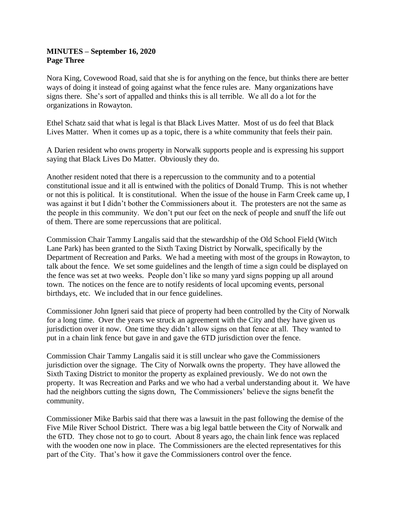# **MINUTES – September 16, 2020 Page Three**

Nora King, Covewood Road, said that she is for anything on the fence, but thinks there are better ways of doing it instead of going against what the fence rules are. Many organizations have signs there. She's sort of appalled and thinks this is all terrible. We all do a lot for the organizations in Rowayton.

Ethel Schatz said that what is legal is that Black Lives Matter. Most of us do feel that Black Lives Matter. When it comes up as a topic, there is a white community that feels their pain.

A Darien resident who owns property in Norwalk supports people and is expressing his support saying that Black Lives Do Matter. Obviously they do.

Another resident noted that there is a repercussion to the community and to a potential constitutional issue and it all is entwined with the politics of Donald Trump. This is not whether or not this is political. It is constitutional. When the issue of the house in Farm Creek came up, I was against it but I didn't bother the Commissioners about it. The protesters are not the same as the people in this community. We don't put our feet on the neck of people and snuff the life out of them. There are some repercussions that are political.

Commission Chair Tammy Langalis said that the stewardship of the Old School Field (Witch Lane Park) has been granted to the Sixth Taxing District by Norwalk, specifically by the Department of Recreation and Parks. We had a meeting with most of the groups in Rowayton, to talk about the fence. We set some guidelines and the length of time a sign could be displayed on the fence was set at two weeks. People don't like so many yard signs popping up all around town. The notices on the fence are to notify residents of local upcoming events, personal birthdays, etc. We included that in our fence guidelines.

Commissioner John Igneri said that piece of property had been controlled by the City of Norwalk for a long time. Over the years we struck an agreement with the City and they have given us jurisdiction over it now. One time they didn't allow signs on that fence at all. They wanted to put in a chain link fence but gave in and gave the 6TD jurisdiction over the fence.

Commission Chair Tammy Langalis said it is still unclear who gave the Commissioners jurisdiction over the signage. The City of Norwalk owns the property. They have allowed the Sixth Taxing District to monitor the property as explained previously. We do not own the property. It was Recreation and Parks and we who had a verbal understanding about it. We have had the neighbors cutting the signs down, The Commissioners' believe the signs benefit the community.

Commissioner Mike Barbis said that there was a lawsuit in the past following the demise of the Five Mile River School District. There was a big legal battle between the City of Norwalk and the 6TD. They chose not to go to court. About 8 years ago, the chain link fence was replaced with the wooden one now in place. The Commissioners are the elected representatives for this part of the City. That's how it gave the Commissioners control over the fence.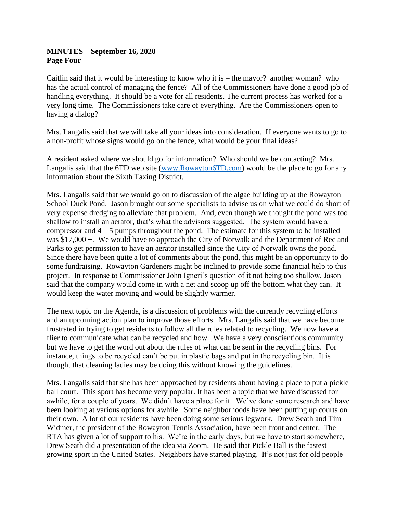# **MINUTES – September 16, 2020 Page Four**

Caitlin said that it would be interesting to know who it is – the mayor? another woman? who has the actual control of managing the fence? All of the Commissioners have done a good job of handling everything. It should be a vote for all residents. The current process has worked for a very long time. The Commissioners take care of everything. Are the Commissioners open to having a dialog?

Mrs. Langalis said that we will take all your ideas into consideration. If everyone wants to go to a non-profit whose signs would go on the fence, what would be your final ideas?

A resident asked where we should go for information? Who should we be contacting? Mrs. Langalis said that the 6TD web site [\(www.Rowayton6TD.com\)](http://www.rowayton6td.com/) would be the place to go for any information about the Sixth Taxing District.

Mrs. Langalis said that we would go on to discussion of the algae building up at the Rowayton School Duck Pond. Jason brought out some specialists to advise us on what we could do short of very expense dredging to alleviate that problem. And, even though we thought the pond was too shallow to install an aerator, that's what the advisors suggested. The system would have a compressor and  $4 - 5$  pumps throughout the pond. The estimate for this system to be installed was \$17,000 +. We would have to approach the City of Norwalk and the Department of Rec and Parks to get permission to have an aerator installed since the City of Norwalk owns the pond. Since there have been quite a lot of comments about the pond, this might be an opportunity to do some fundraising. Rowayton Gardeners might be inclined to provide some financial help to this project. In response to Commissioner John Igneri's question of it not being too shallow, Jason said that the company would come in with a net and scoop up off the bottom what they can. It would keep the water moving and would be slightly warmer.

The next topic on the Agenda, is a discussion of problems with the currently recycling efforts and an upcoming action plan to improve those efforts. Mrs. Langalis said that we have become frustrated in trying to get residents to follow all the rules related to recycling. We now have a flier to communicate what can be recycled and how. We have a very conscientious community but we have to get the word out about the rules of what can be sent in the recycling bins. For instance, things to be recycled can't be put in plastic bags and put in the recycling bin. It is thought that cleaning ladies may be doing this without knowing the guidelines.

Mrs. Langalis said that she has been approached by residents about having a place to put a pickle ball court. This sport has become very popular. It has been a topic that we have discussed for awhile, for a couple of years. We didn't have a place for it. We've done some research and have been looking at various options for awhile. Some neighborhoods have been putting up courts on their own. A lot of our residents have been doing some serious legwork. Drew Seath and Tim Widmer, the president of the Rowayton Tennis Association, have been front and center. The RTA has given a lot of support to his. We're in the early days, but we have to start somewhere, Drew Seath did a presentation of the idea via Zoom. He said that Pickle Ball is the fastest growing sport in the United States. Neighbors have started playing. It's not just for old people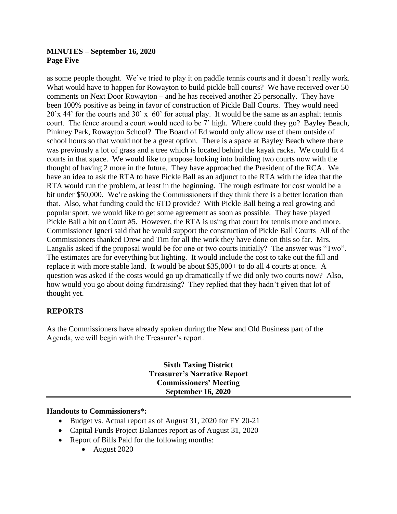# **MINUTES – September 16, 2020 Page Five**

as some people thought. We've tried to play it on paddle tennis courts and it doesn't really work. What would have to happen for Rowayton to build pickle ball courts? We have received over 50 comments on Next Door Rowayton – and he has received another 25 personally. They have been 100% positive as being in favor of construction of Pickle Ball Courts. They would need 20'x 44' for the courts and 30' x 60' for actual play. It would be the same as an asphalt tennis court. The fence around a court would need to be 7' high. Where could they go? Bayley Beach, Pinkney Park, Rowayton School? The Board of Ed would only allow use of them outside of school hours so that would not be a great option. There is a space at Bayley Beach where there was previously a lot of grass and a tree which is located behind the kayak racks. We could fit 4 courts in that space. We would like to propose looking into building two courts now with the thought of having 2 more in the future. They have approached the President of the RCA. We have an idea to ask the RTA to have Pickle Ball as an adjunct to the RTA with the idea that the RTA would run the problem, at least in the beginning. The rough estimate for cost would be a bit under \$50,000. We're asking the Commissioners if they think there is a better location than that. Also, what funding could the 6TD provide? With Pickle Ball being a real growing and popular sport, we would like to get some agreement as soon as possible. They have played Pickle Ball a bit on Court #5. However, the RTA is using that court for tennis more and more. Commissioner Igneri said that he would support the construction of Pickle Ball Courts All of the Commissioners thanked Drew and Tim for all the work they have done on this so far. Mrs. Langalis asked if the proposal would be for one or two courts initially? The answer was "Two". The estimates are for everything but lighting. It would include the cost to take out the fill and replace it with more stable land. It would be about \$35,000+ to do all 4 courts at once. A question was asked if the costs would go up dramatically if we did only two courts now? Also, how would you go about doing fundraising? They replied that they hadn't given that lot of thought yet.

# **REPORTS**

As the Commissioners have already spoken during the New and Old Business part of the Agenda, we will begin with the Treasurer's report.

> **Sixth Taxing District Treasurer's Narrative Report Commissioners' Meeting September 16, 2020**

#### **Handouts to Commissioners\*:**

- Budget vs. Actual report as of August 31, 2020 for FY 20-21
- Capital Funds Project Balances report as of August 31, 2020
- Report of Bills Paid for the following months:
	- August 2020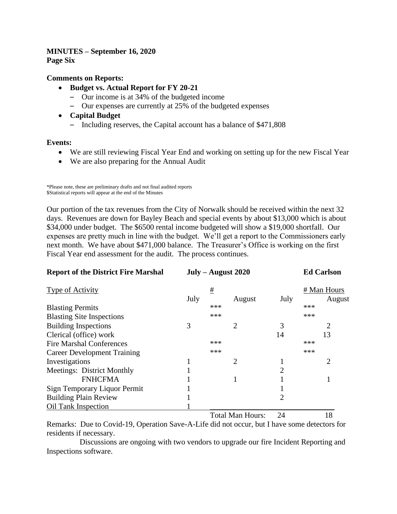#### **MINUTES – September 16, 2020 Page Six**

#### **Comments on Reports:**

- **Budget vs. Actual Report for FY 20-21**
	- Our income is at 34% of the budgeted income
	- Our expenses are currently at 25% of the budgeted expenses
- **Capital Budget**
	- Including reserves, the Capital account has a balance of \$471,808

#### **Events:**

- We are still reviewing Fiscal Year End and working on setting up for the new Fiscal Year
- We are also preparing for the Annual Audit

Our portion of the tax revenues from the City of Norwalk should be received within the next 32 days. Revenues are down for Bayley Beach and special events by about \$13,000 which is about \$34,000 under budget. The \$6500 rental income budgeted will show a \$19,000 shortfall. Our expenses are pretty much in line with the budget. We'll get a report to the Commissioners early next month. We have about \$471,000 balance. The Treasurer's Office is working on the first Fiscal Year end assessment for the audit. The process continues.

| <b>Report of the District Fire Marshal</b> | $July - August 2020$ |     |                |      | <b>Ed Carlson</b> |        |
|--------------------------------------------|----------------------|-----|----------------|------|-------------------|--------|
| <b>Type of Activity</b>                    |                      | #   |                |      | # Man Hours       |        |
|                                            | July                 |     | August         | July |                   | August |
| <b>Blasting Permits</b>                    |                      | *** |                |      | ***               |        |
| <b>Blasting Site Inspections</b>           |                      | *** |                |      | ***               |        |
| <b>Building Inspections</b>                | 3                    |     | 2              | 3    |                   | 2      |
| Clerical (office) work                     |                      |     |                | 14   |                   | 13     |
| <b>Fire Marshal Conferences</b>            |                      | *** |                |      | ***               |        |
| <b>Career Development Training</b>         |                      | *** |                |      | ***               |        |
| Investigations                             |                      |     | $\overline{2}$ |      |                   | 2      |
| Meetings: District Monthly                 |                      |     |                | 2    |                   |        |
| <b>FNHCFMA</b>                             |                      |     |                |      |                   |        |
| Sign Temporary Liquor Permit               |                      |     |                |      |                   |        |
| <b>Building Plain Review</b>               |                      |     |                | 2    |                   |        |
| <b>Oil Tank Inspection</b>                 |                      |     |                |      |                   |        |
|                                            |                      |     |                |      |                   |        |

Total Man Hours: 24 18

Remarks: Due to Covid-19, Operation Save-A-Life did not occur, but I have some detectors for residents if necessary.

 Discussions are ongoing with two vendors to upgrade our fire Incident Reporting and Inspections software.

<sup>\*</sup>Please note, these are preliminary drafts and not final audited reports \$Statistical reports will appear at the end of the Minutes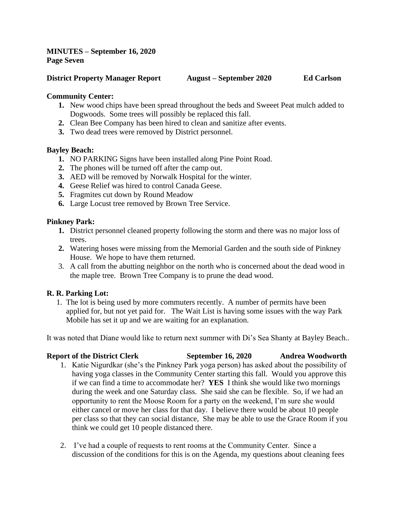# **MINUTES – September 16, 2020 Page Seven**

#### **District Property Manager Report August – September 2020 Ed Carlson**

# **Community Center:**

- **1.** New wood chips have been spread throughout the beds and Sweeet Peat mulch added to Dogwoods. Some trees will possibly be replaced this fall.
- **2.** Clean Bee Company has been hired to clean and sanitize after events.
- **3.** Two dead trees were removed by District personnel.

# **Bayley Beach:**

- **1.** NO PARKING Signs have been installed along Pine Point Road.
- **2.** The phones will be turned off after the camp out.
- **3.** AED will be removed by Norwalk Hospital for the winter.
- **4.** Geese Relief was hired to control Canada Geese.
- **5.** Fragmites cut down by Round Meadow
- **6.** Large Locust tree removed by Brown Tree Service.

# **Pinkney Park:**

- **1.** District personnel cleaned property following the storm and there was no major loss of trees.
- **2.** Watering hoses were missing from the Memorial Garden and the south side of Pinkney House. We hope to have them returned.
- 3. A call from the abutting neighbor on the north who is concerned about the dead wood in the maple tree. Brown Tree Company is to prune the dead wood.

# **R. R. Parking Lot:**

 1. The lot is being used by more commuters recently. A number of permits have been applied for, but not yet paid for. The Wait List is having some issues with the way Park Mobile has set it up and we are waiting for an explanation.

It was noted that Diane would like to return next summer with Di's Sea Shanty at Bayley Beach..

# **Report of the District Clerk September 16, 2020 Andrea Woodworth** 1. Katie Nigurdkar (she's the Pinkney Park yoga person) has asked about the possibility of having yoga classes in the Community Center starting this fall. Would you approve this if we can find a time to accommodate her? **YES** I think she would like two mornings during the week and one Saturday class. She said she can be flexible. So, if we had an opportunity to rent the Moose Room for a party on the weekend, I'm sure she would either cancel or move her class for that day. I believe there would be about 10 people per class so that they can social distance, She may be able to use the Grace Room if you think we could get 10 people distanced there.

2. I've had a couple of requests to rent rooms at the Community Center. Since a discussion of the conditions for this is on the Agenda, my questions about cleaning fees